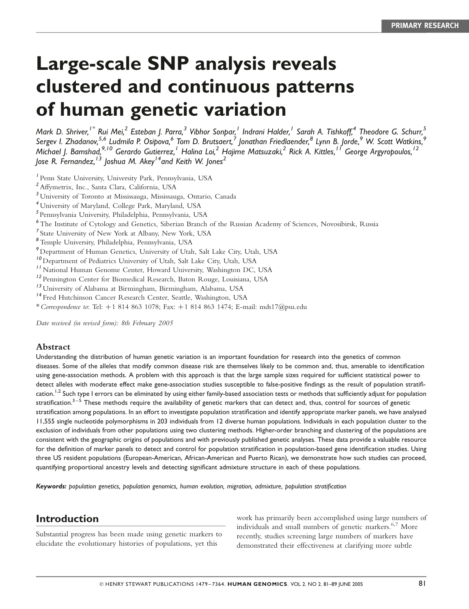# Large-scale SNP analysis reveals clustered and continuous patterns of human genetic variation

Mark D. Shriver,<sup>1\*</sup> Rui Mei,<sup>2</sup> Esteban I. Parra,<sup>3</sup> Vibhor Sonpar,<sup>1</sup> Indrani Halder,<sup>1</sup> Sarah A. Tishkoff,<sup>4</sup> Theodore G. Schurr,<sup>5</sup> Sergev I. Zhadanov.<sup>5,6</sup> Ludmila P. Osibova, <sup>6</sup> Tom D. Brutsaert, <sup>7</sup> Ionathan Friedlaender. <sup>8</sup> Lynn B. Jorde. 9 W. Scott Watkins. 9 Michael I. Bamshad.<sup>9,10</sup> Gerardo Gutierrez.<sup>1</sup> Halina Loi.<sup>2</sup> Hajime Matsuzaki.<sup>2</sup> Rick A. Kittles.<sup>11</sup> George Argyropoulos.<sup>12</sup> Jose R. Fernandez,  $13$  Joshua M. Akey<sup>14</sup> and Keith W. Jones<sup>2</sup>

- 1 Penn State University, University Park, Pennsylvania, USA
- <sup>2</sup>Affymetrix, Inc., Santa Clara, California, USA
- <sup>3</sup>University of Toronto at Mississauga, Mississauga, Ontario, Canada
- <sup>4</sup>University of Maryland, College Park, Maryland, USA
- 5 Pennsylvania University, Philadelphia, Pennsylvania, USA
- <sup>6</sup>The Institute of Cytology and Genetics, Siberian Branch of the Russian Academy of Sciences, Novosibirsk, Russia
- 7 State University of New York at Albany, New York, USA
- <sup>8</sup>Temple University, Philadelphia, Pennsylvania, USA
- <sup>9</sup> Department of Human Genetics, University of Utah, Salt Lake City, Utah, USA
- <sup>10</sup> Department of Pediatrics University of Utah, Salt Lake City, Utah, USA
- <sup>11</sup> National Human Genome Center, Howard University, Washington DC, USA
- <sup>12</sup> Pennington Center for Biomedical Research, Baton Rouge, Louisiana, USA
- <sup>13</sup>University of Alabama at Birmingham, Birmingham, Alabama, USA
- <sup>14</sup> Fred Hutchinson Cancer Research Center, Seattle, Washington, USA
- \* Correspondence to: Tel: <sup>þ</sup>1 814 <sup>863</sup> 1078; Fax: <sup>þ</sup>1 814 <sup>863</sup> 1474; E-mail: mds17@psu.edu

Date received (in revised form): 8th February 2005

#### Abstract

Understanding the distribution of human genetic variation is an important foundation for research into the genetics of common diseases. Some of the alleles that modify common disease risk are themselves likely to be common and, thus, amenable to identification using gene-association methods. A problem with this approach is that the large sample sizes required for sufficient statistical power to detect alleles with moderate effect make gene-association studies susceptible to false-positive findings as the result of population stratification.<sup>1,2</sup> Such type I errors can be eliminated by using either family-based association tests or methods that sufficiently adjust for population stratification.<sup>3–5</sup> These methods require the availability of genetic markers that can detect and, thus, control for sources of genetic stratification among populations. In an effort to investigate population stratification and identify appropriate marker panels, we have analysed 11,555 single nucleotide polymorphisms in 203 individuals from 12 diverse human populations. Individuals in each population cluster to the exclusion of individuals from other populations using two clustering methods. Higher-order branching and clustering of the populations are consistent with the geographic origins of populations and with previously published genetic analyses. These data provide a valuable resource for the definition of marker panels to detect and control for population stratification in population-based gene identification studies. Using three US resident populations (European-American, African-American and Puerto Rican), we demonstrate how such studies can proceed, quantifying proportional ancestry levels and detecting significant admixture structure in each of these populations.

Keywords: population genetics, population genomics, human evolution, migration, admixture, population stratification

# Introduction

Substantial progress has been made using genetic markers to elucidate the evolutionary histories of populations, yet this

work has primarily been accomplished using large numbers of individuals and small numbers of genetic markers. 6,7 More recently, studies screening large numbers of markers have demonstrated their effectiveness at clarifying more subtle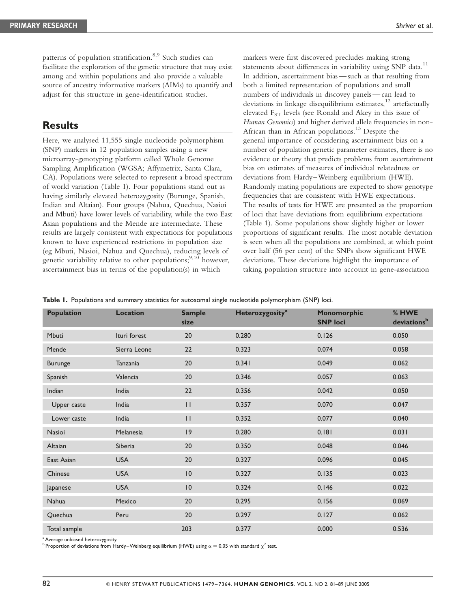patterns of population stratification. 8,9 Such studies can facilitate the exploration of the genetic structure that may exist among and within populations and also provide a valuable source of ancestry informative markers (AIMs) to quantify and adjust for this structure in gene-identification studies.

## **Results**

Here, we analysed 11,555 single nucleotide polymorphism (SNP) markers in 12 population samples using a new microarray-genotyping platform called Whole Genome Sampling Amplification (WGSA; Affymetrix, Santa Clara, CA). Populations were selected to represent a broad spectrum of world variation (Table 1). Four populations stand out as having similarly elevated heterozygosity (Burunge, Spanish, Indian and Altaian). Four groups (Nahua, Quechua, Nasioi and Mbuti) have lower levels of variability, while the two East Asian populations and the Mende are intermediate. These results are largely consistent with expectations for populations known to have experienced restrictions in population size (eg Mbuti, Nasioi, Nahua and Quechua), reducing levels of genetic variability relative to other populations;  $9,10$  however, ascertainment bias in terms of the population(s) in which

markers were first discovered precludes making strong statements about differences in variability using SNP data.<sup>11</sup> In addition, ascertainment bias — such as that resulting from both a limited representation of populations and small numbers of individuals in discovey panels—can lead to deviations in linkage disequilibrium estimates.<sup>12</sup> artefactually elevated F<sub>ST</sub> levels (see Ronald and Akey in this issue of Human Genomics) and higher derived allele frequencies in non-African than in African populations. <sup>13</sup> Despite the general importance of considering ascertainment bias on a number of population genetic parameter estimates, there is no evidence or theory that predicts problems from ascertainment bias on estimates of measures of individual relatedness or deviations from Hardy–Weinberg equilibrium (HWE). Randomly mating populations are expected to show genotype frequencies that are consistent with HWE expectations. The results of tests for HWE are presented as the proportion of loci that have deviations from equilibrium expectations (Table 1). Some populations show slightly higher or lower proportions of significant results. The most notable deviation is seen when all the populations are combined, at which point over half (56 per cent) of the SNPs show significant HWE deviations. These deviations highlight the importance of taking population structure into account in gene-association

Table 1. Populations and summary statistics for autosomal single nucleotide polymorphism (SNP) loci.

| <b>Population</b> | <b>Location</b> | <b>Sample</b><br>size | <b>Heterozygosity<sup>a</sup></b> | Monomorphic<br><b>SNP loci</b> | % HWE<br>deviationsb |
|-------------------|-----------------|-----------------------|-----------------------------------|--------------------------------|----------------------|
| Mbuti             | Ituri forest    | 20                    | 0.280                             | 0.126                          | 0.050                |
| Mende             | Sierra Leone    | 22                    | 0.323                             | 0.074                          | 0.058                |
| <b>Burunge</b>    | Tanzania        | 20                    | 0.341                             | 0.049                          | 0.062                |
| Spanish           | Valencia        | 20                    | 0.346                             | 0.057                          | 0.063                |
| Indian            | India           | 22                    | 0.356                             | 0.042                          | 0.050                |
| Upper caste       | India           | $\mathbf{H}$          | 0.357                             | 0.070                          | 0.047                |
| Lower caste       | India           | $\mathbf{H}$          | 0.352                             | 0.077                          | 0.040                |
| <b>Nasioi</b>     | Melanesia       | 9                     | 0.280                             | 0.181                          | 0.031                |
| Altaian           | Siberia         | 20                    | 0.350                             | 0.048                          | 0.046                |
| East Asian        | <b>USA</b>      | 20                    | 0.327                             | 0.096                          | 0.045                |
| Chinese           | <b>USA</b>      | 10                    | 0.327                             | 0.135                          | 0.023                |
| Japanese          | <b>USA</b>      | 10                    | 0.324                             | 0.146                          | 0.022                |
| Nahua             | Mexico          | 20                    | 0.295                             | 0.156                          | 0.069                |
| Quechua           | Peru            | 20                    | 0.297                             | 0.127                          | 0.062                |
| Total sample      |                 | 203                   | 0.377                             | 0.000                          | 0.536                |

<sup>a</sup> Average unbiased heterozygosity.

Proportion of deviations from Hardy–Weinberg equilibrium (HWE) using  $\alpha = 0.05$  with standard  $\chi^2$  test.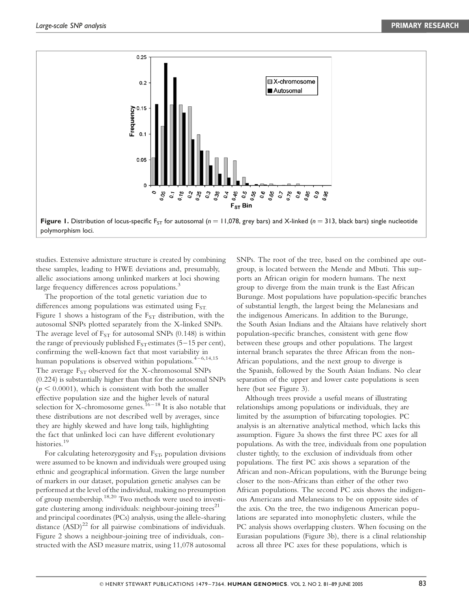

studies. Extensive admixture structure is created by combining these samples, leading to HWE deviations and, presumably, allelic associations among unlinked markers at loci showing large frequency differences across populations.<sup>3</sup>

The proportion of the total genetic variation due to differences among populations was estimated using  $F_{ST}$ . Figure 1 shows a histogram of the  $F_{ST}$  distribution, with the autosomal SNPs plotted separately from the X-linked SNPs. The average level of  $F_{ST}$  for autosomal SNPs (0.148) is within the range of previously published  $F_{ST}$  estimates (5–15 per cent), confirming the well-known fact that most variability in human populations is observed within populations. $4 - 6,14,15$ The average  $F_{ST}$  observed for the X-chromosomal SNPs (0.224) is substantially higher than that for the autosomal SNPs  $(p < 0.0001)$ , which is consistent with both the smaller effective population size and the higher levels of natural selection for X-chromosome genes.  $^{16-18}$  It is also notable that these distributions are not described well by averages, since they are highly skewed and have long tails, highlighting the fact that unlinked loci can have different evolutionary histories.<sup>19</sup>

For calculating heterozygosity and  $F<sub>ST</sub>$ , population divisions were assumed to be known and individuals were grouped using ethnic and geographical information. Given the large number of markers in our dataset, population genetic analyses can be performed at the level of the individual, making no presumption of group membership.  $18,20$  Two methods were used to investigate clustering among individuals: neighbour-joining trees<sup>21</sup> and principal coordinates (PCs) analysis, using the allele-sharing distance  $(ASD)^{22}$  for all pairwise combinations of individuals. Figure 2 shows a neighbour-joining tree of individuals, constructed with the ASD measure matrix, using 11,078 autosomal SNPs. The root of the tree, based on the combined ape outgroup, is located between the Mende and Mbuti. This supports an African origin for modern humans. The next group to diverge from the main trunk is the East African Burunge. Most populations have population-specific branches of substantial length, the largest being the Melanesians and the indigenous Americans. In addition to the Burunge, the South Asian Indians and the Altaians have relatively short population-specific branches, consistent with gene flow between these groups and other populations. The largest internal branch separates the three African from the non-African populations, and the next group to diverge is the Spanish, followed by the South Asian Indians. No clear separation of the upper and lower caste populations is seen here (but see Figure 3).

Although trees provide a useful means of illustrating relationships among populations or individuals, they are limited by the assumption of bifurcating topologies. PC analysis is an alternative analytical method, which lacks this assumption. Figure 3a shows the first three PC axes for all populations. As with the tree, individuals from one population cluster tightly, to the exclusion of individuals from other populations. The first PC axis shows a separation of the African and non-African populations, with the Burunge being closer to the non-Africans than either of the other two African populations. The second PC axis shows the indigenous Americans and Melanesians to be on opposite sides of the axis. On the tree, the two indigenous American populations are separated into monophyletic clusters, while the PC analysis shows overlapping clusters. When focusing on the Eurasian populations (Figure 3b), there is a clinal relationship across all three PC axes for these populations, which is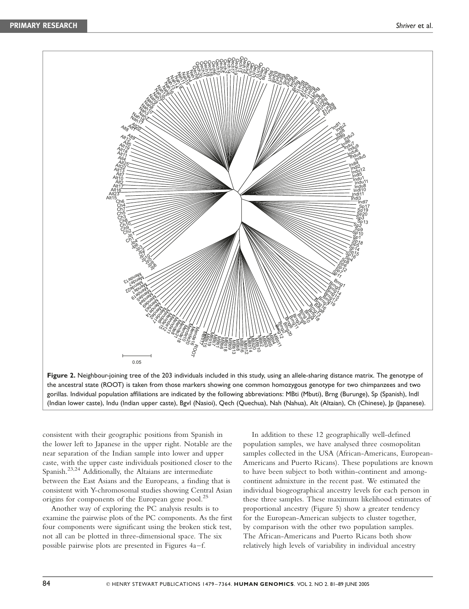

Figure 2. Neighbour-joining tree of the 203 individuals included in this study, using an allele-sharing distance matrix. The genotype of the ancestral state (ROOT) is taken from those markers showing one common homozygous genotype for two chimpanzees and two gorillas. Individual population affiliations are indicated by the following abbreviations: MBti (Mbuti), Brng (Burunge), Sp (Spanish), Indl (Indian lower caste), Indu (Indian upper caste), Bgvl (Nasioi), Qech (Quechua), Nah (Nahua), Alt (Altaian), Ch (Chinese), Jp (Japanese).

consistent with their geographic positions from Spanish in the lower left to Japanese in the upper right. Notable are the near separation of the Indian sample into lower and upper caste, with the upper caste individuals positioned closer to the Spanish.23,24 Additionally, the Altaians are intermediate between the East Asians and the Europeans, a finding that is consistent with Y-chromosomal studies showing Central Asian origins for components of the European gene pool.<sup>25</sup>

Another way of exploring the PC analysis results is to examine the pairwise plots of the PC components. As the first four components were significant using the broken stick test, not all can be plotted in three-dimensional space. The six possible pairwise plots are presented in Figures 4a–f.

In addition to these 12 geographically well-defined population samples, we have analysed three cosmopolitan samples collected in the USA (African-Americans, European-Americans and Puerto Ricans). These populations are known to have been subject to both within-continent and amongcontinent admixture in the recent past. We estimated the individual biogeographical ancestry levels for each person in these three samples. These maximum likelihood estimates of proportional ancestry (Figure 5) show a greater tendency for the European-American subjects to cluster together, by comparison with the other two population samples. The African-Americans and Puerto Ricans both show relatively high levels of variability in individual ancestry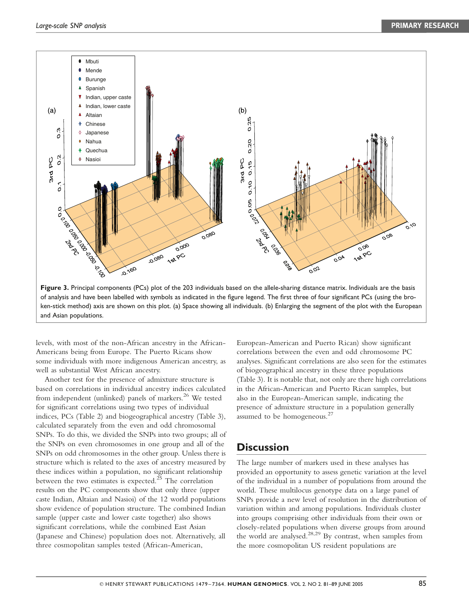

levels, with most of the non-African ancestry in the African-Americans being from Europe. The Puerto Ricans show some individuals with more indigenous American ancestry, as well as substantial West African ancestry.

Another test for the presence of admixture structure is based on correlations in individual ancestry indices calculated from independent (unlinked) panels of markers. <sup>26</sup> We tested for significant correlations using two types of individual indices, PCs (Table 2) and biogeographical ancestry (Table 3), calculated separately from the even and odd chromosomal SNPs. To do this, we divided the SNPs into two groups; all of the SNPs on even chromosomes in one group and all of the SNPs on odd chromosomes in the other group. Unless there is structure which is related to the axes of ancestry measured by these indices within a population, no significant relationship between the two estimates is expected.<sup>25</sup> The correlation results on the PC components show that only three (upper caste Indian, Altaian and Nasioi) of the 12 world populations show evidence of population structure. The combined Indian sample (upper caste and lower caste together) also shows significant correlations, while the combined East Asian (Japanese and Chinese) population does not. Alternatively, all three cosmopolitan samples tested (African-American,

European-American and Puerto Rican) show significant correlations between the even and odd chromosome PC analyses. Significant correlations are also seen for the estimates of biogeographical ancestry in these three populations (Table 3). It is notable that, not only are there high correlations in the African-American and Puerto Rican samples, but also in the European-American sample, indicating the presence of admixture structure in a population generally assumed to be homogeneous.<sup>27</sup>

## **Discussion**

The large number of markers used in these analyses has provided an opportunity to assess genetic variation at the level of the individual in a number of populations from around the world. These multilocus genotype data on a large panel of SNPs provide a new level of resolution in the distribution of variation within and among populations. Individuals cluster into groups comprising other individuals from their own or closely-related populations when diverse groups from around the world are analysed.<sup>28,29</sup> By contrast, when samples from the more cosmopolitan US resident populations are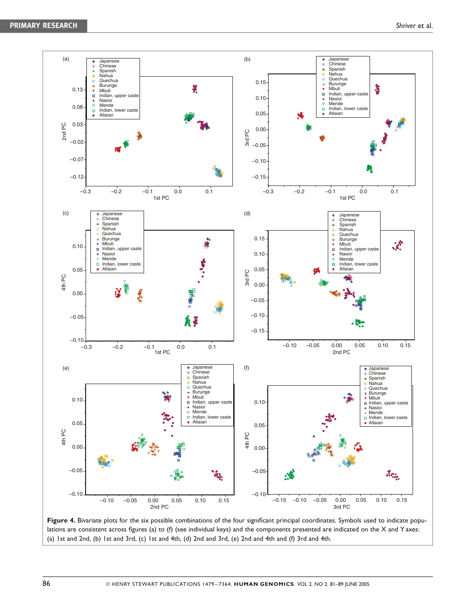

Figure 4. Bivariate plots for the six possible combinations of the four significant principal coordinates. Symbols used to indicate populations are consistent across figures (a) to (f) (see individual keys) and the components presented are indicated on the X and Y axes: (a) 1st and 2nd, (b) 1st and 3rd, (c) 1st and 4th, (d) 2nd and 3rd, (e) 2nd and 4th and (f) 3rd and 4th.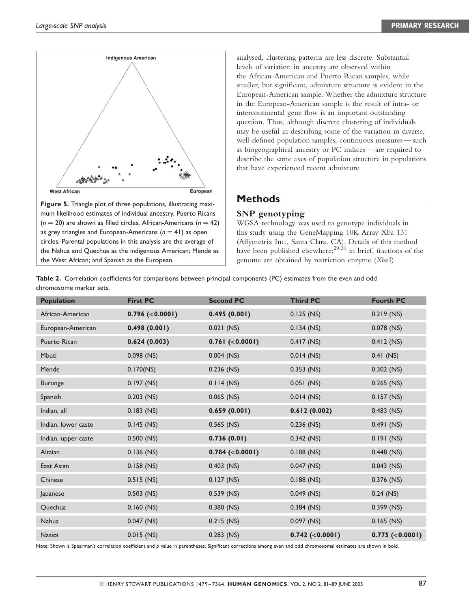

Figure 5. Triangle plot of three populations, illustrating maximum likelihood estimates of individual ancestry. Puerto Ricans  $(n = 20)$  are shown as filled circles, African-Americans  $(n = 42)$ as grey triangles and European-Americans  $(n = 41)$  as open circles. Parental populations in this analysis are the average of the Nahua and Quechua as the indigenous American; Mende as the West African; and Spanish as the European.

analysed, clustering patterns are less discrete. Substantial levels of variation in ancestry are observed within the African-American and Puerto Rican samples, while smaller, but significant, admixture structure is evident in the European-American sample. Whether the admixture structure in the European-American sample is the result of intra- or intercontinental gene flow is an important outstanding question. Thus, although discrete clustering of individuals may be useful in describing some of the variation in diverse, well-defined population samples, continuous measures — such as biogeographical ancestry or PC indices— are required to describe the same axes of population structure in populations that have experienced recent admixture.

## **Methods**

#### SNP genotyping

WGSA technology was used to genotype individuals in this study using the GeneMapping 10K Array Xba 131 (Affymetrix Inc., Santa Clara, CA). Details of this method have been published elsewhere:  $29,30$  in brief, fractions of the genome are obtained by restriction enzyme (Xba I)

|                         | Table 2. Correlation coefficients for comparisons between principal components (PC) estimates from the even and odd |  |  |  |  |
|-------------------------|---------------------------------------------------------------------------------------------------------------------|--|--|--|--|
| chromosome marker sets. |                                                                                                                     |  |  |  |  |

| <b>Population</b>   | <b>First PC</b> | <b>Second PC</b> | <b>Third PC</b>   | <b>Fourth PC</b>  |
|---------------------|-----------------|------------------|-------------------|-------------------|
| African-American    | 0.796~(<0.0001) | 0.495(0.001)     | $0.125$ (NS)      | $0.219$ (NS)      |
| European-American   | 0.498(0.001)    | $0.021$ (NS)     | $0.134$ (NS)      | $0.078$ (NS)      |
| Puerto Rican        | 0.624(0.003)    | 0.761 (< 0.0001) | $0.417$ (NS)      | $0.412$ (NS)      |
| <b>Mbuti</b>        | $0.098$ (NS)    | $0.004$ (NS)     | $0.014$ (NS)      | $0.41$ (NS)       |
| Mende               | 0.170(NS)       | 0.236 (NS)       | $0.353$ (NS)      | $0.302$ (NS)      |
| <b>Burunge</b>      | $0.197$ (NS)    | $0.114$ (NS)     | $0.051$ (NS)      | $0.265$ (NS)      |
| Spanish             | $0.203$ (NS)    | $0.065$ (NS)     | $0.014$ (NS)      | $0.157$ (NS)      |
| Indian, all         | $0.183$ (NS)    | 0.659(0.001)     | 0.612(0.002)      | $0.483$ (NS)      |
| Indian, lower caste | $0.145$ (NS)    | $0.565$ (NS)     | 0.236 (NS)        | $0.491$ (NS)      |
| Indian, upper caste | $0.500$ (NS)    | 0.736(0.01)      | $0.342$ (NS)      | $0.191$ (NS)      |
| Altaian             | $0.136$ (NS)    | 0.784~(<0.0001)  | $0.108$ (NS)      | $0.448$ (NS)      |
| East Asian          | $0.158$ (NS)    | $0.403$ (NS)     | $0.047$ (NS)      | $0.043$ (NS)      |
| Chinese             | $0.515$ (NS)    | $0.127$ (NS)     | $0.188$ (NS)      | 0.376 (NS)        |
| Japanese            | $0.503$ (NS)    | $0.539$ (NS)     | $0.049$ (NS)      | $0.24$ (NS)       |
| Quechua             | $0.160$ (NS)    | $0.380$ (NS)     | $0.384$ (NS)      | $0.399$ (NS)      |
| Nahua               | $0.047$ (NS)    | $0.215$ (NS)     | $0.097$ (NS)      | $0.165$ (NS)      |
| <b>Nasioi</b>       | $0.015$ (NS)    | $0.283$ (NS)     | $0.742$ (<0.0001) | $0.775$ (<0.0001) |

Note: Shown is Spearman's correlation coefficient and p value in parentheses. Significant corrections among even and odd chromosomal estimates are shown in bold.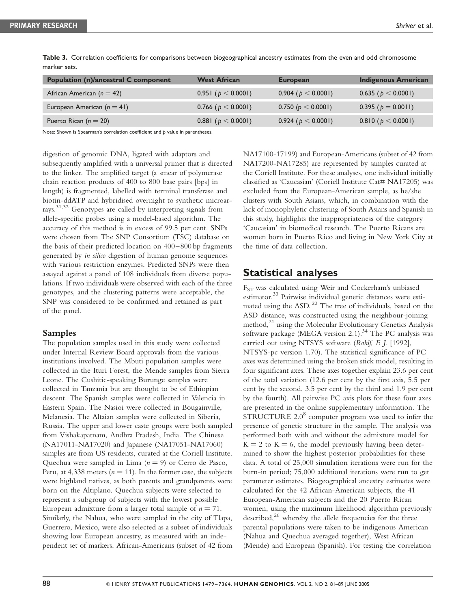| <b>Population (n)/ancestral C component</b> | <b>West African</b>    | <b>European</b>        | <b>Indigenous American</b> |
|---------------------------------------------|------------------------|------------------------|----------------------------|
| African American ( $n = 42$ )               | 0.951 ( $p < 0.0001$ ) | 0.904 ( $p < 0.0001$ ) | 0.635 ( $p < 0.0001$ )     |
| European American $(n = 41)$                | 0.766 ( $p < 0.0001$ ) | 0.750 ( $p < 0.0001$ ) | 0.395 ( $p = 0.0011$ )     |
| Puerto Rican ( $n = 20$ )                   | 0.881 ( $p < 0.0001$ ) | 0.924 ( $p < 0.0001$ ) | $0.810$ ( $p < 0.0001$ )   |

Table 3. Correlation coefficients for comparisons between biogeographical ancestry estimates from the even and odd chromosome marker sets.

Note: Shown is Spearman's correlation coefficient and b value in parentheses.

digestion of genomic DNA, ligated with adaptors and subsequently amplified with a universal primer that is directed to the linker. The amplified target (a smear of polymerase chain reaction products of 400 to 800 base pairs [bps] in length) is fragmented, labelled with terminal transferase and biotin-ddATP and hybridised overnight to synthetic microarrays. 31,32 Genotypes are called by interpreting signals from allele-specific probes using a model-based algorithm. The accuracy of this method is in excess of 99.5 per cent. SNPs were chosen from The SNP Consortium (TSC) database on the basis of their predicted location on 400–800 bp fragments generated by in silico digestion of human genome sequences with various restriction enzymes. Predicted SNPs were then assayed against a panel of 108 individuals from diverse populations. If two individuals were observed with each of the three genotypes, and the clustering patterns were acceptable, the SNP was considered to be confirmed and retained as part of the panel.

#### Samples

The population samples used in this study were collected under Internal Review Board approvals from the various institutions involved. The Mbuti population samples were collected in the Ituri Forest, the Mende samples from Sierra Leone. The Cushitic-speaking Burunge samples were collected in Tanzania but are thought to be of Ethiopian descent. The Spanish samples were collected in Valencia in Eastern Spain. The Nasioi were collected in Bougainville, Melanesia. The Altaian samples were collected in Siberia, Russia. The upper and lower caste groups were both sampled from Vishakapatnam, Andhra Pradesh, India. The Chinese (NA17011-NA17020) and Japanese (NA17051-NA17060) samples are from US residents, curated at the Coriell Institute. Quechua were sampled in Lima  $(n = 9)$  or Cerro de Pasco, Peru, at 4,338 meters ( $n = 11$ ). In the former case, the subjects were highland natives, as both parents and grandparents were born on the Altiplano. Quechua subjects were selected to represent a subgroup of subjects with the lowest possible European admixture from a larger total sample of  $n = 71$ . Similarly, the Nahua, who were sampled in the city of Tlapa, Guerrero, Mexico, were also selected as a subset of individuals showing low European ancestry, as measured with an independent set of markers. African-Americans (subset of 42 from

NA17100-17199) and European-Americans (subset of 42 from NA17200-NA17285) are represented by samples curated at the Coriell Institute. For these analyses, one individual initially classified as 'Caucasian' (Coriell Institute Cat# NA17205) was excluded from the European-American sample, as he/she clusters with South Asians, which, in combination with the lack of monophyletic clustering of South Asians and Spanish in this study, highlights the inappropriateness of the category 'Caucasian' in biomedical research. The Puerto Ricans are women born in Puerto Rico and living in New York City at the time of data collection.

# Statistical analyses

FST was calculated using Weir and Cockerham's unbiased estimator. <sup>33</sup> Pairwise individual genetic distances were estimated using the ASD.<sup>22</sup> The tree of individuals, based on the ASD distance, was constructed using the neighbour-joining method,<sup>21</sup> using the Molecular Evolutionary Genetics Analysis software package (MEGA version 2.1).<sup>34</sup> The PC analysis was carried out using NTSYS software (Rohlf, F. J. [1992], NTSYS-pc version 1.70). The statistical significance of PC axes was determined using the broken stick model, resulting in four significant axes. These axes together explain 23.6 per cent of the total variation (12.6 per cent by the first axis, 5.5 per cent by the second, 3.5 per cent by the third and 1.9 per cent by the fourth). All pairwise PC axis plots for these four axes are presented in the online supplementary information. The  $STRUCTURE 2.0<sup>8</sup>$  computer program was used to infer the presence of genetic structure in the sample. The analysis was performed both with and without the admixture model for  $K = 2$  to  $K = 6$ , the model previously having been determined to show the highest posterior probabilities for these data. A total of 25,000 simulation iterations were run for the burn-in period; 75,000 additional iterations were run to get parameter estimates. Biogeographical ancestry estimates were calculated for the 42 African-American subjects, the 41 European-American subjects and the 20 Puerto Rican women, using the maximum likelihood algorithm previously described, $^{26}$  whereby the allele frequencies for the three parental populations were taken to be indigenous American (Nahua and Quechua averaged together), West African (Mende) and European (Spanish). For testing the correlation